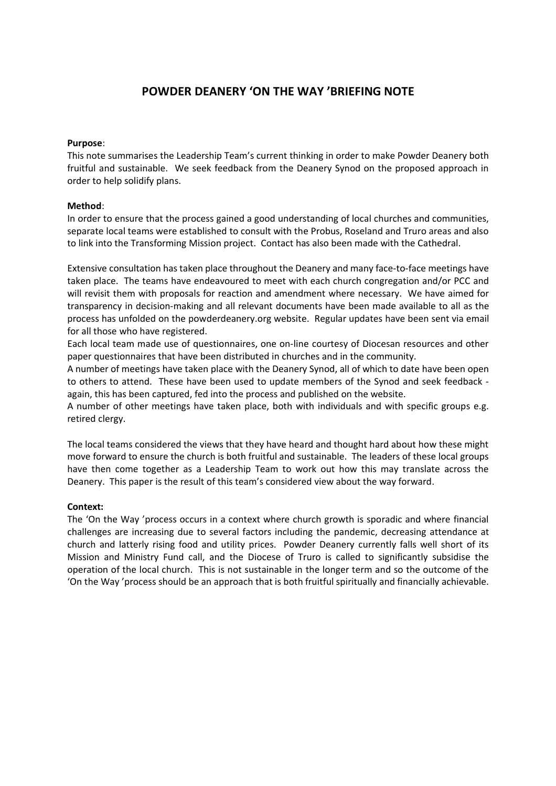# **POWDER DEANERY 'ON THE WAY 'BRIEFING NOTE**

#### **Purpose**:

This note summarises the Leadership Team's current thinking in order to make Powder Deanery both fruitful and sustainable. We seek feedback from the Deanery Synod on the proposed approach in order to help solidify plans.

#### **Method**:

In order to ensure that the process gained a good understanding of local churches and communities, separate local teams were established to consult with the Probus, Roseland and Truro areas and also to link into the Transforming Mission project. Contact has also been made with the Cathedral.

Extensive consultation has taken place throughout the Deanery and many face-to-face meetings have taken place. The teams have endeavoured to meet with each church congregation and/or PCC and will revisit them with proposals for reaction and amendment where necessary. We have aimed for transparency in decision-making and all relevant documents have been made available to all as the process has unfolded on the [powderdeanery.org](http://powderdeanery.org/) website. Regular updates have been sent via email for all those who have registered.

Each local team made use of questionnaires, one on-line courtesy of Diocesan resources and other paper questionnaires that have been distributed in churches and in the community.

A number of meetings have taken place with the Deanery Synod, all of which to date have been open to others to attend. These have been used to update members of the Synod and seek feedback again, this has been captured, fed into the process and published on the website.

A number of other meetings have taken place, both with individuals and with specific groups e.g. retired clergy.

The local teams considered the views that they have heard and thought hard about how these might move forward to ensure the church is both fruitful and sustainable. The leaders of these local groups have then come together as a Leadership Team to work out how this may translate across the Deanery. This paper is the result of this team's considered view about the way forward.

#### **Context:**

The 'On the Way 'process occurs in a context where church growth is sporadic and where financial challenges are increasing due to several factors including the pandemic, decreasing attendance at church and latterly rising food and utility prices. Powder Deanery currently falls well short of its Mission and Ministry Fund call, and the Diocese of Truro is called to significantly subsidise the operation of the local church. This is not sustainable in the longer term and so the outcome of the 'On the Way 'process should be an approach that is both fruitful spiritually and financially achievable.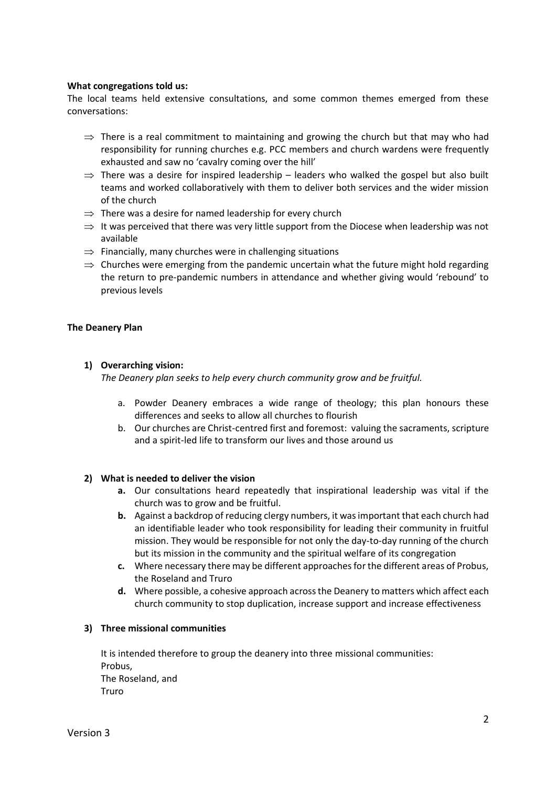#### **What congregations told us:**

The local teams held extensive consultations, and some common themes emerged from these conversations:

- $\Rightarrow$  There is a real commitment to maintaining and growing the church but that may who had responsibility for running churches e.g. PCC members and church wardens were frequently exhausted and saw no 'cavalry coming over the hill'
- $\Rightarrow$  There was a desire for inspired leadership leaders who walked the gospel but also built teams and worked collaboratively with them to deliver both services and the wider mission of the church
- $\Rightarrow$  There was a desire for named leadership for every church
- $\Rightarrow$  It was perceived that there was very little support from the Diocese when leadership was not available
- $\Rightarrow$  Financially, many churches were in challenging situations
- $\Rightarrow$  Churches were emerging from the pandemic uncertain what the future might hold regarding the return to pre-pandemic numbers in attendance and whether giving would 'rebound' to previous levels

### **The Deanery Plan**

### **1) Overarching vision:**

*The Deanery plan seeks to help every church community grow and be fruitful.*

- a. Powder Deanery embraces a wide range of theology; this plan honours these differences and seeks to allow all churches to flourish
- b. Our churches are Christ-centred first and foremost: valuing the sacraments, scripture and a spirit-led life to transform our lives and those around us

#### **2) What is needed to deliver the vision**

- **a.** Our consultations heard repeatedly that inspirational leadership was vital if the church was to grow and be fruitful.
- **b.** Against a backdrop of reducing clergy numbers, it wasimportant that each church had an identifiable leader who took responsibility for leading their community in fruitful mission. They would be responsible for not only the day-to-day running of the church but its mission in the community and the spiritual welfare of its congregation
- **c.** Where necessary there may be different approachesfor the different areas of Probus, the Roseland and Truro
- **d.** Where possible, a cohesive approach acrossthe Deanery to matters which affect each church community to stop duplication, increase support and increase effectiveness

#### **3) Three missional communities**

It is intended therefore to group the deanery into three missional communities: Probus, The Roseland, and Truro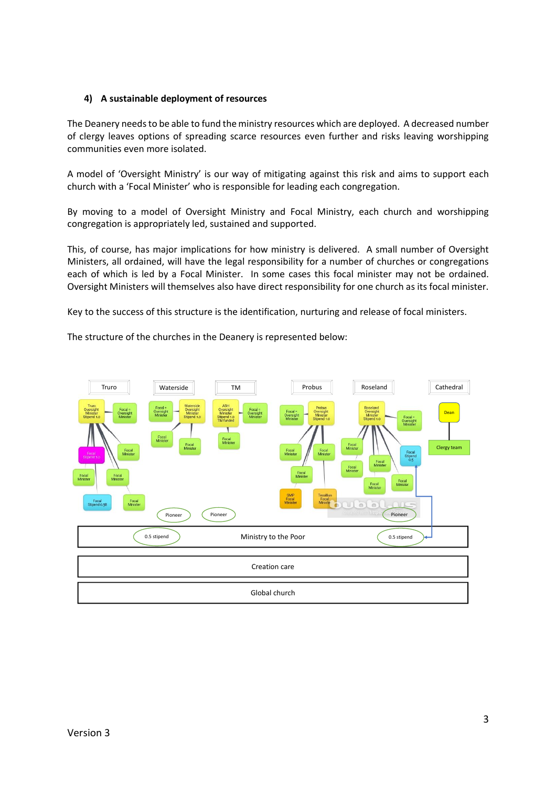### **4) A sustainable deployment of resources**

The Deanery needs to be able to fund the ministry resources which are deployed. A decreased number of clergy leaves options of spreading scarce resources even further and risks leaving worshipping communities even more isolated.

A model of 'Oversight Ministry' is our way of mitigating against this risk and aims to support each church with a 'Focal Minister' who is responsible for leading each congregation.

By moving to a model of Oversight Ministry and Focal Ministry, each church and worshipping congregation is appropriately led, sustained and supported.

This, of course, has major implications for how ministry is delivered. A small number of Oversight Ministers, all ordained, will have the legal responsibility for a number of churches or congregations each of which is led by a Focal Minister. In some cases this focal minister may not be ordained. Oversight Ministers will themselves also have direct responsibility for one church as its focal minister.

Key to the success of this structure is the identification, nurturing and release of focal ministers.

The structure of the churches in the Deanery is represented below:

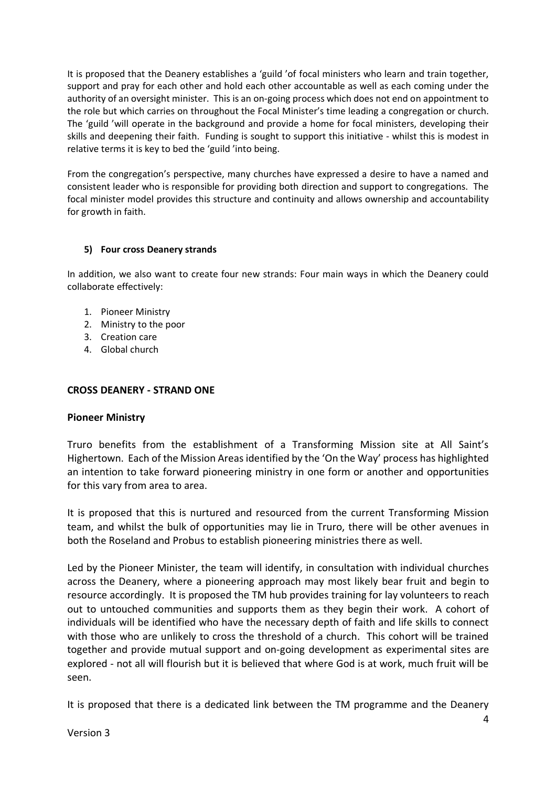It is proposed that the Deanery establishes a 'guild 'of focal ministers who learn and train together, support and pray for each other and hold each other accountable as well as each coming under the authority of an oversight minister. This is an on-going process which does not end on appointment to the role but which carries on throughout the Focal Minister's time leading a congregation or church. The 'guild 'will operate in the background and provide a home for focal ministers, developing their skills and deepening their faith. Funding is sought to support this initiative - whilst this is modest in relative terms it is key to bed the 'guild 'into being.

From the congregation's perspective, many churches have expressed a desire to have a named and consistent leader who is responsible for providing both direction and support to congregations. The focal minister model provides this structure and continuity and allows ownership and accountability for growth in faith.

## **5) Four cross Deanery strands**

In addition, we also want to create four new strands: Four main ways in which the Deanery could collaborate effectively:

- 1. Pioneer Ministry
- 2. Ministry to the poor
- 3. Creation care
- 4. Global church

## **CROSS DEANERY - STRAND ONE**

## **Pioneer Ministry**

Truro benefits from the establishment of a Transforming Mission site at All Saint's Highertown. Each of the Mission Areas identified by the 'On the Way' process has highlighted an intention to take forward pioneering ministry in one form or another and opportunities for this vary from area to area.

It is proposed that this is nurtured and resourced from the current Transforming Mission team, and whilst the bulk of opportunities may lie in Truro, there will be other avenues in both the Roseland and Probus to establish pioneering ministries there as well.

Led by the Pioneer Minister, the team will identify, in consultation with individual churches across the Deanery, where a pioneering approach may most likely bear fruit and begin to resource accordingly. It is proposed the TM hub provides training for lay volunteers to reach out to untouched communities and supports them as they begin their work. A cohort of individuals will be identified who have the necessary depth of faith and life skills to connect with those who are unlikely to cross the threshold of a church. This cohort will be trained together and provide mutual support and on-going development as experimental sites are explored - not all will flourish but it is believed that where God is at work, much fruit will be seen.

It is proposed that there is a dedicated link between the TM programme and the Deanery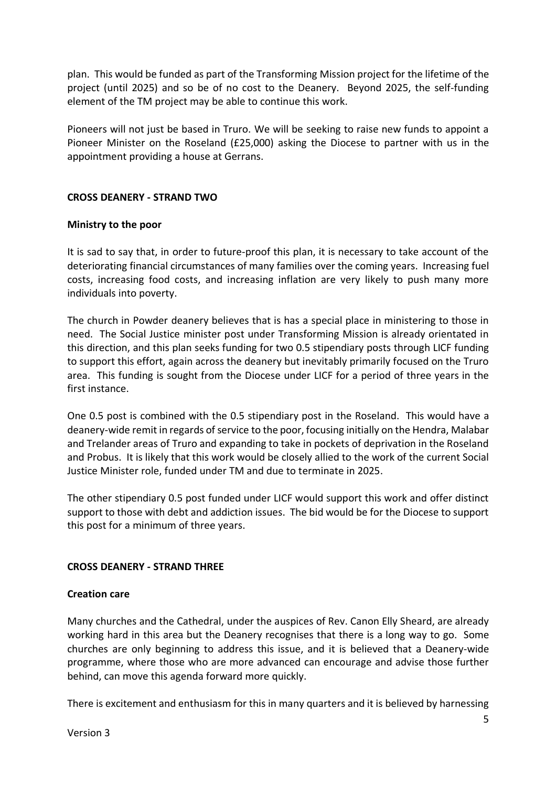plan. This would be funded as part of the Transforming Mission project for the lifetime of the project (until 2025) and so be of no cost to the Deanery. Beyond 2025, the self-funding element of the TM project may be able to continue this work.

Pioneers will not just be based in Truro. We will be seeking to raise new funds to appoint a Pioneer Minister on the Roseland (£25,000) asking the Diocese to partner with us in the appointment providing a house at Gerrans.

## **CROSS DEANERY - STRAND TWO**

## **Ministry to the poor**

It is sad to say that, in order to future-proof this plan, it is necessary to take account of the deteriorating financial circumstances of many families over the coming years. Increasing fuel costs, increasing food costs, and increasing inflation are very likely to push many more individuals into poverty.

The church in Powder deanery believes that is has a special place in ministering to those in need. The Social Justice minister post under Transforming Mission is already orientated in this direction, and this plan seeks funding for two 0.5 stipendiary posts through LICF funding to support this effort, again across the deanery but inevitably primarily focused on the Truro area. This funding is sought from the Diocese under LICF for a period of three years in the first instance.

One 0.5 post is combined with the 0.5 stipendiary post in the Roseland. This would have a deanery-wide remit in regards of service to the poor, focusing initially on the Hendra, Malabar and Trelander areas of Truro and expanding to take in pockets of deprivation in the Roseland and Probus. It is likely that this work would be closely allied to the work of the current Social Justice Minister role, funded under TM and due to terminate in 2025.

The other stipendiary 0.5 post funded under LICF would support this work and offer distinct support to those with debt and addiction issues. The bid would be for the Diocese to support this post for a minimum of three years.

# **CROSS DEANERY - STRAND THREE**

## **Creation care**

Many churches and the Cathedral, under the auspices of Rev. Canon Elly Sheard, are already working hard in this area but the Deanery recognises that there is a long way to go. Some churches are only beginning to address this issue, and it is believed that a Deanery-wide programme, where those who are more advanced can encourage and advise those further behind, can move this agenda forward more quickly.

There is excitement and enthusiasm for this in many quarters and it is believed by harnessing